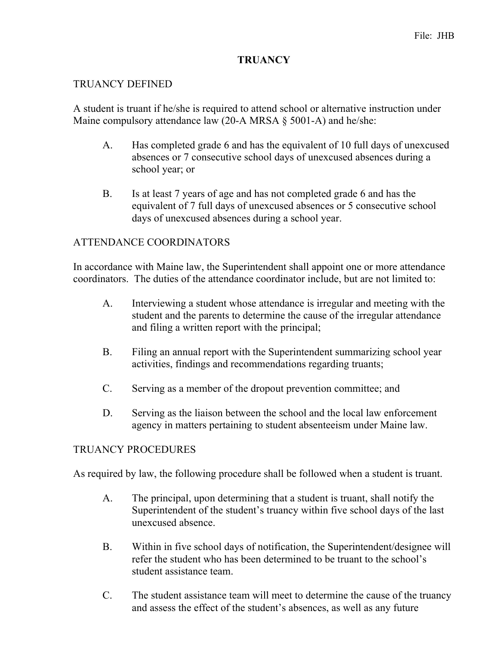## **TRUANCY**

#### TRUANCY DEFINED

A student is truant if he/she is required to attend school or alternative instruction under Maine compulsory attendance law  $(20-A MRSA \S 5001-A)$  and he/she:

- A. Has completed grade 6 and has the equivalent of 10 full days of unexcused absences or 7 consecutive school days of unexcused absences during a school year; or
- B. Is at least 7 years of age and has not completed grade 6 and has the equivalent of 7 full days of unexcused absences or 5 consecutive school days of unexcused absences during a school year.

## ATTENDANCE COORDINATORS

In accordance with Maine law, the Superintendent shall appoint one or more attendance coordinators. The duties of the attendance coordinator include, but are not limited to:

- A. Interviewing a student whose attendance is irregular and meeting with the student and the parents to determine the cause of the irregular attendance and filing a written report with the principal;
- B. Filing an annual report with the Superintendent summarizing school year activities, findings and recommendations regarding truants;
- C. Serving as a member of the dropout prevention committee; and
- D. Serving as the liaison between the school and the local law enforcement agency in matters pertaining to student absenteeism under Maine law.

## TRUANCY PROCEDURES

As required by law, the following procedure shall be followed when a student is truant.

- A. The principal, upon determining that a student is truant, shall notify the Superintendent of the student's truancy within five school days of the last unexcused absence.
- B. Within in five school days of notification, the Superintendent/designee will refer the student who has been determined to be truant to the school's student assistance team.
- C. The student assistance team will meet to determine the cause of the truancy and assess the effect of the student's absences, as well as any future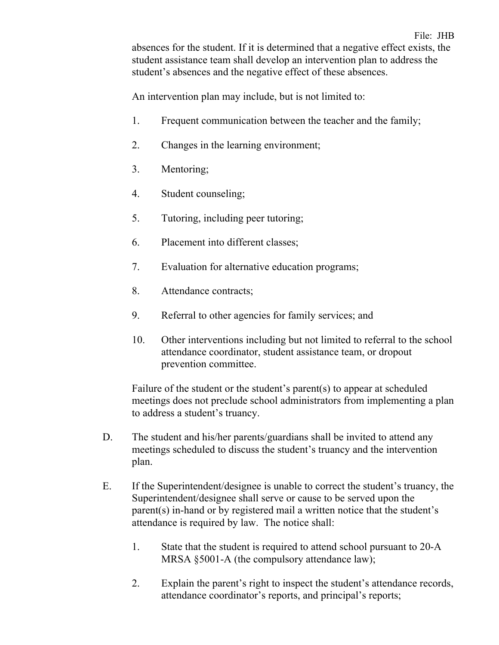absences for the student. If it is determined that a negative effect exists, the student assistance team shall develop an intervention plan to address the student's absences and the negative effect of these absences.

An intervention plan may include, but is not limited to:

- 1. Frequent communication between the teacher and the family;
- 2. Changes in the learning environment;
- 3. Mentoring;
- 4. Student counseling;
- 5. Tutoring, including peer tutoring;
- 6. Placement into different classes;
- 7. Evaluation for alternative education programs;
- 8. Attendance contracts;
- 9. Referral to other agencies for family services; and
- 10. Other interventions including but not limited to referral to the school attendance coordinator, student assistance team, or dropout prevention committee.

Failure of the student or the student's parent(s) to appear at scheduled meetings does not preclude school administrators from implementing a plan to address a student's truancy.

- D. The student and his/her parents/guardians shall be invited to attend any meetings scheduled to discuss the student's truancy and the intervention plan.
- E. If the Superintendent/designee is unable to correct the student's truancy, the Superintendent/designee shall serve or cause to be served upon the parent(s) in-hand or by registered mail a written notice that the student's attendance is required by law. The notice shall:
	- 1. State that the student is required to attend school pursuant to 20-A MRSA §5001-A (the compulsory attendance law);
	- 2. Explain the parent's right to inspect the student's attendance records, attendance coordinator's reports, and principal's reports;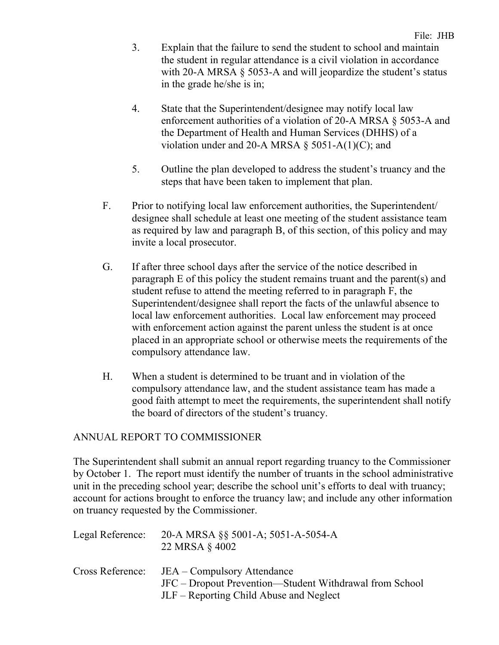- 3. Explain that the failure to send the student to school and maintain the student in regular attendance is a civil violation in accordance with 20-A MRSA § 5053-A and will jeopardize the student's status in the grade he/she is in;
- 4. State that the Superintendent/designee may notify local law enforcement authorities of a violation of 20-A MRSA § 5053-A and the Department of Health and Human Services (DHHS) of a violation under and 20-A MRSA  $\S$  5051-A(1)(C); and
- 5. Outline the plan developed to address the student's truancy and the steps that have been taken to implement that plan.
- F. Prior to notifying local law enforcement authorities, the Superintendent/ designee shall schedule at least one meeting of the student assistance team as required by law and paragraph B, of this section, of this policy and may invite a local prosecutor.
- G. If after three school days after the service of the notice described in paragraph E of this policy the student remains truant and the parent(s) and student refuse to attend the meeting referred to in paragraph F, the Superintendent/designee shall report the facts of the unlawful absence to local law enforcement authorities. Local law enforcement may proceed with enforcement action against the parent unless the student is at once placed in an appropriate school or otherwise meets the requirements of the compulsory attendance law.
- H. When a student is determined to be truant and in violation of the compulsory attendance law, and the student assistance team has made a good faith attempt to meet the requirements, the superintendent shall notify the board of directors of the student's truancy.

# ANNUAL REPORT TO COMMISSIONER

The Superintendent shall submit an annual report regarding truancy to the Commissioner by October 1. The report must identify the number of truants in the school administrative unit in the preceding school year; describe the school unit's efforts to deal with truancy; account for actions brought to enforce the truancy law; and include any other information on truancy requested by the Commissioner.

| Legal Reference: | 20-A MRSA §§ 5001-A; 5051-A-5054-A<br>22 MRSA § 4002                                                                              |
|------------------|-----------------------------------------------------------------------------------------------------------------------------------|
| Cross Reference: | JEA – Compulsory Attendance<br>JFC – Dropout Prevention—Student Withdrawal from School<br>JLF – Reporting Child Abuse and Neglect |